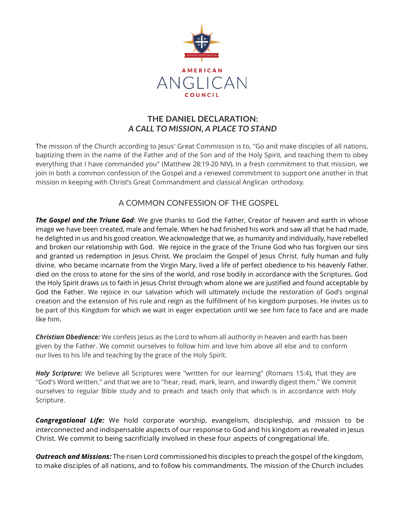

## **THE DANIEL DECLARATION:**  *A CALL TO MISSION, A PLACE TO STAND*

The mission of the Church according to Jesus' Great Commission is to, "Go and make disciples of all nations, baptizing them in the name of the Father and of the Son and of the Holy Spirit, and teaching them to obey everything that I have commanded you" (Matthew 28:19-20 NIV). In a fresh commitment to that mission, we join in both a common confession of the Gospel and a renewed commitment to support one another in that mission in keeping with Christ's Great Commandment and classical Anglican orthodoxy.

# A COMMON CONFESSION OF THE GOSPEL

*The Gospel and the Triune God*: We give thanks to God the Father, Creator of heaven and earth in whose image we have been created, male and female. When he had finished his work and saw all that he had made, he delighted in us and his good creation. We acknowledge that we, as humanity and individually, have rebelled and broken our relationship with God. We rejoice in the grace of the Triune God who has forgiven our sins and granted us redemption in Jesus Christ. We proclaim the Gospel of Jesus Christ, fully human and fully divine, who became incarnate from the Virgin Mary, lived a life of perfect obedience to his heavenly Father, died on the cross to atone for the sins of the world, and rose bodily in accordance with the Scriptures. God the Holy Spirit draws us to faith in Jesus Christ through whom alone we are justified and found acceptable by God the Father. We rejoice in our salvation which will ultimately include the restoration of God's original creation and the extension of his rule and reign as the fulfillment of his kingdom purposes. He invites us to be part of this Kingdom for which we wait in eager expectation until we see him face to face and are made like him.

*Christian Obedience:* We confess Jesus as the Lord to whom all authority in heaven and earth has been given by the Father. We commit ourselves to follow him and love him above all else and to conform our lives to his life and teaching by the grace of the Holy Spirit.

*Holy Scripture:* We believe all Scriptures were "written for our learning" (Romans 15:4), that they are "God's Word written," and that we are to "hear, read, mark, learn, and inwardly digest them." We commit ourselves to regular Bible study and to preach and teach only that which is in accordance with Holy Scripture.

*Congregational Life:* We hold corporate worship, evangelism, discipleship, and mission to be interconnected and indispensable aspects of our response to God and his kingdom as revealed in Jesus Christ. We commit to being sacrificially involved in these four aspects of congregational life.

*Outreach and Missions:* The risen Lord commissioned his disciples to preach the gospel of the kingdom, to make disciples of all nations, and to follow his commandments. The mission of the Church includes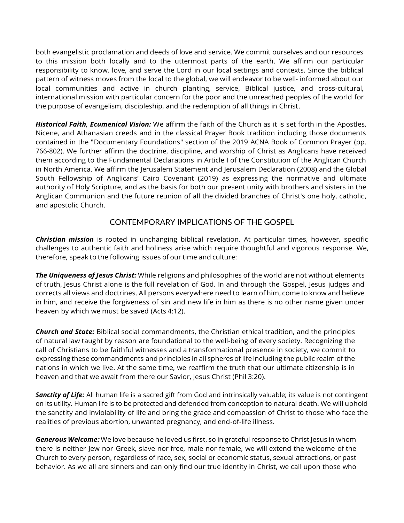both evangelistic proclamation and deeds of love and service. We commit ourselves and our resources to this mission both locally and to the uttermost parts of the earth. We affirm our particular responsibility to know, love, and serve the Lord in our local settings and contexts. Since the biblical pattern of witness moves from the local to the global, we will endeavor to be well- informed about our local communities and active in church planting, service, Biblical justice, and cross-cultural, international mission with particular concern for the poor and the unreached peoples of the world for the purpose of evangelism, discipleship, and the redemption of all things in Christ.

*Historical Faith, Ecumenical Vision:* We affirm the faith of the Church as it is set forth in the Apostles, Nicene, and Athanasian creeds and in the classical Prayer Book tradition including those documents contained in the "Documentary Foundations" section of the 2019 ACNA Book of Common Prayer (pp. 766-802). We further affirm the doctrine, discipline, and worship of Christ as Anglicans have received them according to the Fundamental Declarations in Article I of the Constitution of the Anglican Church in North America. We affirm the Jerusalem Statement and Jerusalem Declaration (2008) and the Global South Fellowship of Anglicans' Cairo Covenant (2019) as expressing the normative and ultimate authority of Holy Scripture, and as the basis for both our present unity with brothers and sisters in the Anglican Communion and the future reunion of all the divided branches of Christ's one holy, catholic, and apostolic Church.

#### CONTEMPORARY IMPLICATIONS OF THE GOSPEL

*Christian mission* is rooted in unchanging biblical revelation. At particular times, however, specific challenges to authentic faith and holiness arise which require thoughtful and vigorous response. We, therefore, speak to the following issues of our time and culture:

*The Uniqueness of Jesus Christ:* While religions and philosophies of the world are not without elements of truth, Jesus Christ alone is the full revelation of God. In and through the Gospel, Jesus judges and corrects all views and doctrines. All persons everywhere need to learn of him, come to know and believe in him, and receive the forgiveness of sin and new life in him as there is no other name given under heaven by which we must be saved (Acts 4:12).

*Church and State:* Biblical social commandments, the Christian ethical tradition, and the principles of natural law taught by reason are foundational to the well-being of every society. Recognizing the call of Christians to be faithful witnesses and a transformational presence in society, we commit to expressing these commandments and principles in all spheres of life including the public realm of the nations in which we live. At the same time, we reaffirm the truth that our ultimate citizenship is in heaven and that we await from there our Savior, Jesus Christ (Phil 3:20).

*Sanctity of Life:* All human life is a sacred gift from God and intrinsically valuable; its value is not contingent on its utility. Human life is to be protected and defended from conception to natural death. We will uphold the sanctity and inviolability of life and bring the grace and compassion of Christ to those who face the realities of previous abortion, unwanted pregnancy, and end-of-life illness.

*Generous Welcome:* We love because he loved us first, so in grateful response to Christ Jesus in whom there is neither Jew nor Greek, slave nor free, male nor female, we will extend the welcome of the Church to every person, regardless of race, sex, social or economic status, sexual attractions, or past behavior. As we all are sinners and can only find our true identity in Christ, we call upon those who